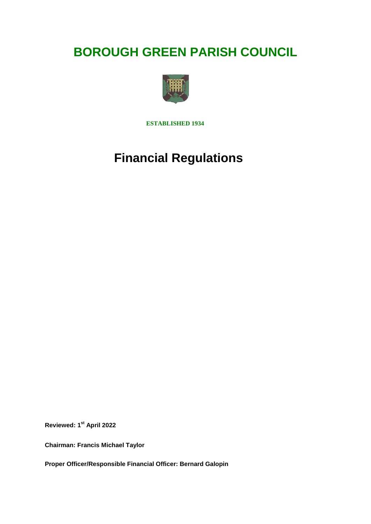# **BOROUGH GREEN PARISH COUNCIL**



**ESTABLISHED 1934**

# **Financial Regulations**

**Reviewed: 1st April 2022**

**Chairman: Francis Michael Taylor**

**Proper Officer/Responsible Financial Officer: Bernard Galopin**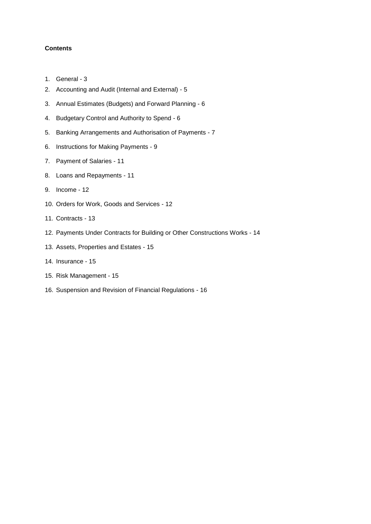# **Contents**

- 1. General 3
- 2. Accounting and Audit (Internal and External) 5
- 3. Annual Estimates (Budgets) and Forward Planning 6
- 4. Budgetary Control and Authority to Spend 6
- 5. Banking Arrangements and Authorisation of Payments 7
- 6. Instructions for Making Payments 9
- 7. Payment of Salaries 11
- 8. Loans and Repayments 11
- 9. Income 12
- 10. Orders for Work, Goods and Services 12
- 11. Contracts 13
- 12. Payments Under Contracts for Building or Other Constructions Works 14
- 13. Assets, Properties and Estates 15
- 14. Insurance 15
- 15. Risk Management 15
- 16. Suspension and Revision of Financial Regulations 16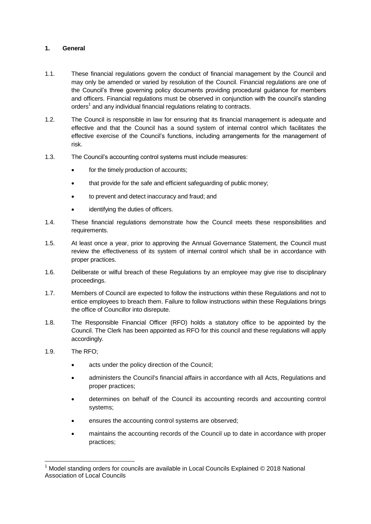## **1. General**

- 1.1. These financial regulations govern the conduct of financial management by the Council and may only be amended or varied by resolution of the Council. Financial regulations are one of the Council's three governing policy documents providing procedural guidance for members and officers. Financial regulations must be observed in conjunction with the council's standing orders<sup>1</sup> and any individual financial regulations relating to contracts.
- 1.2. The Council is responsible in law for ensuring that its financial management is adequate and effective and that the Council has a sound system of internal control which facilitates the effective exercise of the Council's functions, including arrangements for the management of risk.
- 1.3. The Council's accounting control systems must include measures:
	- for the timely production of accounts;
	- that provide for the safe and efficient safeguarding of public money;
	- to prevent and detect inaccuracy and fraud; and
	- identifying the duties of officers.
- 1.4. These financial regulations demonstrate how the Council meets these responsibilities and requirements.
- 1.5. At least once a year, prior to approving the Annual Governance Statement, the Council must review the effectiveness of its system of internal control which shall be in accordance with proper practices.
- 1.6. Deliberate or wilful breach of these Regulations by an employee may give rise to disciplinary proceedings.
- 1.7. Members of Council are expected to follow the instructions within these Regulations and not to entice employees to breach them. Failure to follow instructions within these Regulations brings the office of Councillor into disrepute.
- 1.8. The Responsible Financial Officer (RFO) holds a statutory office to be appointed by the Council. The Clerk has been appointed as RFO for this council and these regulations will apply accordingly.
- 1.9. The RFO;

1

- acts under the policy direction of the Council;
- administers the Council's financial affairs in accordance with all Acts, Regulations and proper practices;
- determines on behalf of the Council its accounting records and accounting control systems;
- ensures the accounting control systems are observed;
- maintains the accounting records of the Council up to date in accordance with proper practices;

<sup>1</sup> Model standing orders for councils are available in Local Councils Explained © 2018 National Association of Local Councils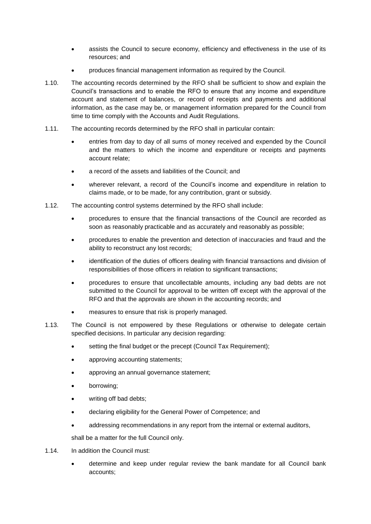- assists the Council to secure economy, efficiency and effectiveness in the use of its resources; and
- produces financial management information as required by the Council.
- 1.10. The accounting records determined by the RFO shall be sufficient to show and explain the Council's transactions and to enable the RFO to ensure that any income and expenditure account and statement of balances, or record of receipts and payments and additional information, as the case may be, or management information prepared for the Council from time to time comply with the Accounts and Audit Regulations.
- 1.11. The accounting records determined by the RFO shall in particular contain:
	- entries from day to day of all sums of money received and expended by the Council and the matters to which the income and expenditure or receipts and payments account relate;
	- a record of the assets and liabilities of the Council; and
	- wherever relevant, a record of the Council's income and expenditure in relation to claims made, or to be made, for any contribution, grant or subsidy.
- 1.12. The accounting control systems determined by the RFO shall include:
	- procedures to ensure that the financial transactions of the Council are recorded as soon as reasonably practicable and as accurately and reasonably as possible;
	- procedures to enable the prevention and detection of inaccuracies and fraud and the ability to reconstruct any lost records;
	- identification of the duties of officers dealing with financial transactions and division of responsibilities of those officers in relation to significant transactions;
	- procedures to ensure that uncollectable amounts, including any bad debts are not submitted to the Council for approval to be written off except with the approval of the RFO and that the approvals are shown in the accounting records; and
	- measures to ensure that risk is properly managed.
- 1.13. The Council is not empowered by these Regulations or otherwise to delegate certain specified decisions. In particular any decision regarding:
	- setting the final budget or the precept (Council Tax Requirement);
	- approving accounting statements;
	- approving an annual governance statement;
	- borrowing;
	- writing off bad debts;
	- declaring eligibility for the General Power of Competence; and
	- addressing recommendations in any report from the internal or external auditors,

shall be a matter for the full Council only.

- 1.14. In addition the Council must:
	- determine and keep under regular review the bank mandate for all Council bank accounts;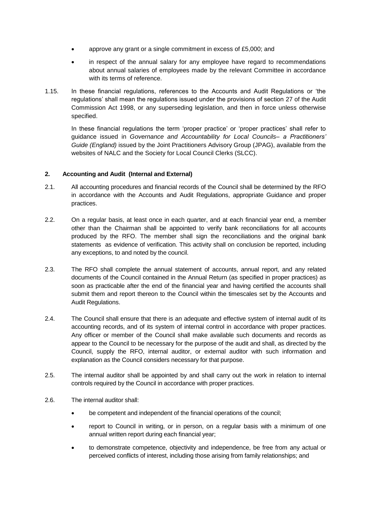- approve any grant or a single commitment in excess of £5,000; and
- in respect of the annual salary for any employee have regard to recommendations about annual salaries of employees made by the relevant Committee in accordance with its terms of reference.
- 1.15. In these financial regulations, references to the Accounts and Audit Regulations or 'the regulations' shall mean the regulations issued under the provisions of section 27 of the Audit Commission Act 1998, or any superseding legislation, and then in force unless otherwise specified.

In these financial regulations the term 'proper practice' or 'proper practices' shall refer to guidance issued in *Governance and Accountability for Local Councils– a Practitioners' Guide (England)* issued by the Joint Practitioners Advisory Group (JPAG), available from the websites of NALC and the Society for Local Council Clerks (SLCC).

# **2. Accounting and Audit (Internal and External)**

- 2.1. All accounting procedures and financial records of the Council shall be determined by the RFO in accordance with the Accounts and Audit Regulations, appropriate Guidance and proper practices.
- 2.2. On a regular basis, at least once in each quarter, and at each financial year end, a member other than the Chairman shall be appointed to verify bank reconciliations for all accounts produced by the RFO. The member shall sign the reconciliations and the original bank statements as evidence of verification. This activity shall on conclusion be reported, including any exceptions, to and noted by the council.
- 2.3. The RFO shall complete the annual statement of accounts, annual report, and any related documents of the Council contained in the Annual Return (as specified in proper practices) as soon as practicable after the end of the financial year and having certified the accounts shall submit them and report thereon to the Council within the timescales set by the Accounts and Audit Regulations.
- 2.4. The Council shall ensure that there is an adequate and effective system of internal audit of its accounting records, and of its system of internal control in accordance with proper practices. Any officer or member of the Council shall make available such documents and records as appear to the Council to be necessary for the purpose of the audit and shall, as directed by the Council, supply the RFO, internal auditor, or external auditor with such information and explanation as the Council considers necessary for that purpose.
- 2.5. The internal auditor shall be appointed by and shall carry out the work in relation to internal controls required by the Council in accordance with proper practices.
- 2.6. The internal auditor shall:
	- be competent and independent of the financial operations of the council;
	- report to Council in writing, or in person, on a regular basis with a minimum of one annual written report during each financial year;
	- to demonstrate competence, objectivity and independence, be free from any actual or perceived conflicts of interest, including those arising from family relationships; and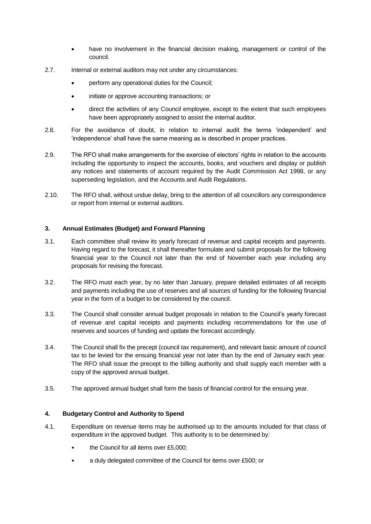- have no involvement in the financial decision making, management or control of the council.
- 2.7. Internal or external auditors may not under any circumstances:
	- perform any operational duties for the Council;
	- initiate or approve accounting transactions; or
	- direct the activities of any Council employee, except to the extent that such employees have been appropriately assigned to assist the internal auditor.
- 2.8. For the avoidance of doubt, in relation to internal audit the terms 'independent' and 'independence' shall have the same meaning as is described in proper practices.
- 2.9. The RFO shall make arrangements for the exercise of electors' rights in relation to the accounts including the opportunity to inspect the accounts, books, and vouchers and display or publish any notices and statements of account required by the Audit Commission Act 1998, or any superseding legislation, and the Accounts and Audit Regulations.
- 2.10. The RFO shall, without undue delay, bring to the attention of all councillors any correspondence or report from internal or external auditors.

# **3. Annual Estimates (Budget) and Forward Planning**

- 3.1. Each committee shall review its yearly forecast of revenue and capital receipts and payments. Having regard to the forecast, it shall thereafter formulate and submit proposals for the following financial year to the Council not later than the end of November each year including any proposals for revising the forecast.
- 3.2. The RFO must each year, by no later than January, prepare detailed estimates of all receipts and payments including the use of reserves and all sources of funding for the following financial year in the form of a budget to be considered by the council.
- 3.3. The Council shall consider annual budget proposals in relation to the Council's yearly forecast of revenue and capital receipts and payments including recommendations for the use of reserves and sources of funding and update the forecast accordingly.
- 3.4. The Council shall fix the precept (council tax requirement), and relevant basic amount of council tax to be levied for the ensuing financial year not later than by the end of January each year. The RFO shall issue the precept to the billing authority and shall supply each member with a copy of the approved annual budget.
- 3.5. The approved annual budget shall form the basis of financial control for the ensuing year.

### **4. Budgetary Control and Authority to Spend**

- 4.1. Expenditure on revenue items may be authorised up to the amounts included for that class of expenditure in the approved budget. This authority is to be determined by:
	- the Council for all items over £5,000;
	- a duly delegated committee of the Council for items over £500; or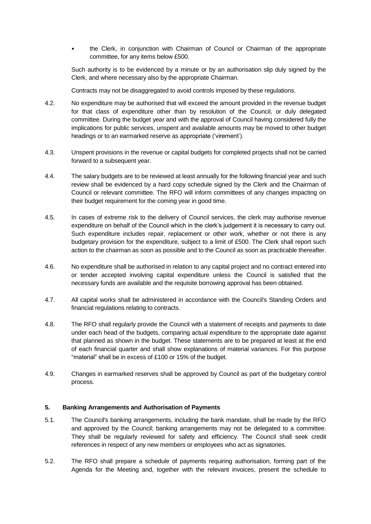• the Clerk, in conjunction with Chairman of Council or Chairman of the appropriate committee, for any items below £500.

Such authority is to be evidenced by a minute or by an authorisation slip duly signed by the Clerk, and where necessary also by the appropriate Chairman.

Contracts may not be disaggregated to avoid controls imposed by these regulations.

- 4.2. No expenditure may be authorised that will exceed the amount provided in the revenue budget for that class of expenditure other than by resolution of the Council, or duly delegated committee. During the budget year and with the approval of Council having considered fully the implications for public services, unspent and available amounts may be moved to other budget headings or to an earmarked reserve as appropriate ('virement').
- 4.3. Unspent provisions in the revenue or capital budgets for completed projects shall not be carried forward to a subsequent year.
- 4.4. The salary budgets are to be reviewed at least annually for the following financial year and such review shall be evidenced by a hard copy schedule signed by the Clerk and the Chairman of Council or relevant committee. The RFO will inform committees of any changes impacting on their budget requirement for the coming year in good time.
- 4.5. In cases of extreme risk to the delivery of Council services, the clerk may authorise revenue expenditure on behalf of the Council which in the clerk's judgement it is necessary to carry out. Such expenditure includes repair, replacement or other work, whether or not there is any budgetary provision for the expenditure, subject to a limit of £500. The Clerk shall report such action to the chairman as soon as possible and to the Council as soon as practicable thereafter.
- 4.6. No expenditure shall be authorised in relation to any capital project and no contract entered into or tender accepted involving capital expenditure unless the Council is satisfied that the necessary funds are available and the requisite borrowing approval has been obtained.
- 4.7. All capital works shall be administered in accordance with the Council's Standing Orders and financial regulations relating to contracts.
- 4.8. The RFO shall regularly provide the Council with a statement of receipts and payments to date under each head of the budgets, comparing actual expenditure to the appropriate date against that planned as shown in the budget. These statements are to be prepared at least at the end of each financial quarter and shall show explanations of material variances. For this purpose "material" shall be in excess of £100 or 15% of the budget.
- 4.9. Changes in earmarked reserves shall be approved by Council as part of the budgetary control process.

#### **5. Banking Arrangements and Authorisation of Payments**

- 5.1. The Council's banking arrangements, including the bank mandate, shall be made by the RFO and approved by the Council; banking arrangements may not be delegated to a committee. They shall be regularly reviewed for safety and efficiency. The Council shall seek credit references in respect of any new members or employees who act as signatories.
- 5.2. The RFO shall prepare a schedule of payments requiring authorisation, forming part of the Agenda for the Meeting and, together with the relevant invoices, present the schedule to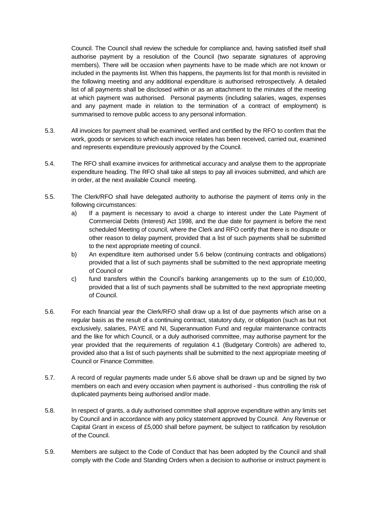Council. The Council shall review the schedule for compliance and, having satisfied itself shall authorise payment by a resolution of the Council (two separate signatures of approving members). There will be occasion when payments have to be made which are not known or included in the payments list. When this happens, the payments list for that month is revisited in the following meeting and any additional expenditure is authorised retrospectively. A detailed list of all payments shall be disclosed within or as an attachment to the minutes of the meeting at which payment was authorised. Personal payments (including salaries, wages, expenses and any payment made in relation to the termination of a contract of employment) is summarised to remove public access to any personal information.

- 5.3. All invoices for payment shall be examined, verified and certified by the RFO to confirm that the work, goods or services to which each invoice relates has been received, carried out, examined and represents expenditure previously approved by the Council.
- 5.4. The RFO shall examine invoices for arithmetical accuracy and analyse them to the appropriate expenditure heading. The RFO shall take all steps to pay all invoices submitted, and which are in order, at the next available Council meeting.
- 5.5. The Clerk/RFO shall have delegated authority to authorise the payment of items only in the following circumstances:
	- a) If a payment is necessary to avoid a charge to interest under the Late Payment of Commercial Debts (Interest) Act 1998, and the due date for payment is before the next scheduled Meeting of council, where the Clerk and RFO certify that there is no dispute or other reason to delay payment, provided that a list of such payments shall be submitted to the next appropriate meeting of council.
	- b) An expenditure item authorised under 5.6 below (continuing contracts and obligations) provided that a list of such payments shall be submitted to the next appropriate meeting of Council or
	- c) fund transfers within the Council's banking arrangements up to the sum of  $£10,000$ , provided that a list of such payments shall be submitted to the next appropriate meeting of Council.
- 5.6. For each financial year the Clerk/RFO shall draw up a list of due payments which arise on a regular basis as the result of a continuing contract, statutory duty, or obligation (such as but not exclusively, salaries, PAYE and NI, Superannuation Fund and regular maintenance contracts and the like for which Council, or a duly authorised committee, may authorise payment for the year provided that the requirements of regulation 4.1 (Budgetary Controls) are adhered to, provided also that a list of such payments shall be submitted to the next appropriate meeting of Council or Finance Committee.
- 5.7. A record of regular payments made under 5.6 above shall be drawn up and be signed by two members on each and every occasion when payment is authorised - thus controlling the risk of duplicated payments being authorised and/or made.
- 5.8. In respect of grants, a duly authorised committee shall approve expenditure within any limits set by Council and in accordance with any policy statement approved by Council. Any Revenue or Capital Grant in excess of £5,000 shall before payment, be subject to ratification by resolution of the Council.
- 5.9. Members are subject to the Code of Conduct that has been adopted by the Council and shall comply with the Code and Standing Orders when a decision to authorise or instruct payment is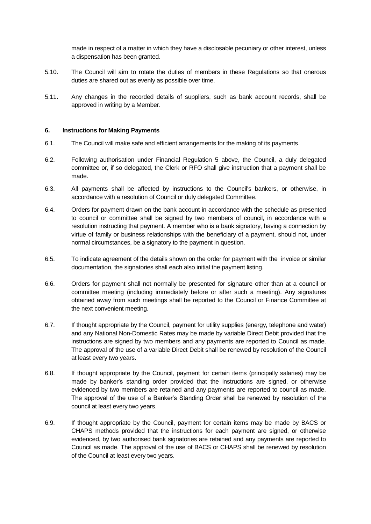made in respect of a matter in which they have a disclosable pecuniary or other interest, unless a dispensation has been granted.

- 5.10. The Council will aim to rotate the duties of members in these Regulations so that onerous duties are shared out as evenly as possible over time.
- 5.11. Any changes in the recorded details of suppliers, such as bank account records, shall be approved in writing by a Member.

#### **6. Instructions for Making Payments**

- 6.1. The Council will make safe and efficient arrangements for the making of its payments.
- 6.2. Following authorisation under Financial Regulation 5 above, the Council, a duly delegated committee or, if so delegated, the Clerk or RFO shall give instruction that a payment shall be made.
- 6.3. All payments shall be affected by instructions to the Council's bankers, or otherwise, in accordance with a resolution of Council or duly delegated Committee.
- 6.4. Orders for payment drawn on the bank account in accordance with the schedule as presented to council or committee shall be signed by two members of council, in accordance with a resolution instructing that payment. A member who is a bank signatory, having a connection by virtue of family or business relationships with the beneficiary of a payment, should not, under normal circumstances, be a signatory to the payment in question.
- 6.5. To indicate agreement of the details shown on the order for payment with the invoice or similar documentation, the signatories shall each also initial the payment listing.
- 6.6. Orders for payment shall not normally be presented for signature other than at a council or committee meeting (including immediately before or after such a meeting). Any signatures obtained away from such meetings shall be reported to the Council or Finance Committee at the next convenient meeting.
- 6.7. If thought appropriate by the Council, payment for utility supplies (energy, telephone and water) and any National Non-Domestic Rates may be made by variable Direct Debit provided that the instructions are signed by two members and any payments are reported to Council as made. The approval of the use of a variable Direct Debit shall be renewed by resolution of the Council at least every two years.
- 6.8. If thought appropriate by the Council, payment for certain items (principally salaries) may be made by banker's standing order provided that the instructions are signed, or otherwise evidenced by two members are retained and any payments are reported to council as made. The approval of the use of a Banker's Standing Order shall be renewed by resolution of the council at least every two years.
- 6.9. If thought appropriate by the Council, payment for certain items may be made by BACS or CHAPS methods provided that the instructions for each payment are signed, or otherwise evidenced, by two authorised bank signatories are retained and any payments are reported to Council as made. The approval of the use of BACS or CHAPS shall be renewed by resolution of the Council at least every two years.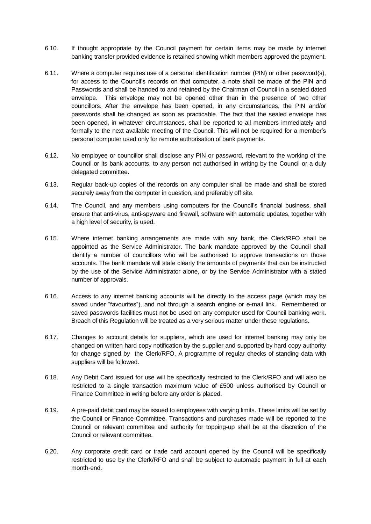- 6.10. If thought appropriate by the Council payment for certain items may be made by internet banking transfer provided evidence is retained showing which members approved the payment.
- 6.11. Where a computer requires use of a personal identification number (PIN) or other password(s), for access to the Council's records on that computer, a note shall be made of the PIN and Passwords and shall be handed to and retained by the Chairman of Council in a sealed dated envelope. This envelope may not be opened other than in the presence of two other councillors. After the envelope has been opened, in any circumstances, the PIN and/or passwords shall be changed as soon as practicable. The fact that the sealed envelope has been opened, in whatever circumstances, shall be reported to all members immediately and formally to the next available meeting of the Council. This will not be required for a member's personal computer used only for remote authorisation of bank payments.
- 6.12. No employee or councillor shall disclose any PIN or password, relevant to the working of the Council or its bank accounts, to any person not authorised in writing by the Council or a duly delegated committee.
- 6.13. Regular back-up copies of the records on any computer shall be made and shall be stored securely away from the computer in question, and preferably off site.
- 6.14. The Council, and any members using computers for the Council's financial business, shall ensure that anti-virus, anti-spyware and firewall, software with automatic updates, together with a high level of security, is used.
- 6.15. Where internet banking arrangements are made with any bank, the Clerk/RFO shall be appointed as the Service Administrator. The bank mandate approved by the Council shall identify a number of councillors who will be authorised to approve transactions on those accounts. The bank mandate will state clearly the amounts of payments that can be instructed by the use of the Service Administrator alone, or by the Service Administrator with a stated number of approvals.
- 6.16. Access to any internet banking accounts will be directly to the access page (which may be saved under "favourites"), and not through a search engine or e-mail link. Remembered or saved passwords facilities must not be used on any computer used for Council banking work. Breach of this Regulation will be treated as a very serious matter under these regulations.
- 6.17. Changes to account details for suppliers, which are used for internet banking may only be changed on written hard copy notification by the supplier and supported by hard copy authority for change signed by the Clerk/RFO. A programme of regular checks of standing data with suppliers will be followed.
- 6.18. Any Debit Card issued for use will be specifically restricted to the Clerk/RFO and will also be restricted to a single transaction maximum value of £500 unless authorised by Council or Finance Committee in writing before any order is placed.
- 6.19. A pre-paid debit card may be issued to employees with varying limits. These limits will be set by the Council or Finance Committee. Transactions and purchases made will be reported to the Council or relevant committee and authority for topping-up shall be at the discretion of the Council or relevant committee.
- 6.20. Any corporate credit card or trade card account opened by the Council will be specifically restricted to use by the Clerk/RFO and shall be subject to automatic payment in full at each month-end.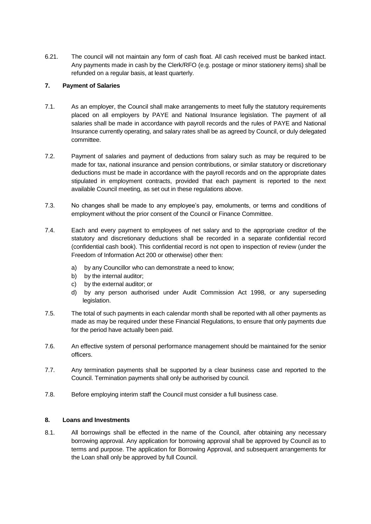6.21. The council will not maintain any form of cash float. All cash received must be banked intact. Any payments made in cash by the Clerk/RFO (e.g. postage or minor stationery items) shall be refunded on a regular basis, at least quarterly.

## **7. Payment of Salaries**

- 7.1. As an employer, the Council shall make arrangements to meet fully the statutory requirements placed on all employers by PAYE and National Insurance legislation. The payment of all salaries shall be made in accordance with payroll records and the rules of PAYE and National Insurance currently operating, and salary rates shall be as agreed by Council, or duly delegated committee.
- 7.2. Payment of salaries and payment of deductions from salary such as may be required to be made for tax, national insurance and pension contributions, or similar statutory or discretionary deductions must be made in accordance with the payroll records and on the appropriate dates stipulated in employment contracts, provided that each payment is reported to the next available Council meeting, as set out in these regulations above.
- 7.3. No changes shall be made to any employee's pay, emoluments, or terms and conditions of employment without the prior consent of the Council or Finance Committee.
- 7.4. Each and every payment to employees of net salary and to the appropriate creditor of the statutory and discretionary deductions shall be recorded in a separate confidential record (confidential cash book). This confidential record is not open to inspection of review (under the Freedom of Information Act 200 or otherwise) other then:
	- a) by any Councillor who can demonstrate a need to know;
	- b) by the internal auditor;
	- c) by the external auditor; or
	- d) by any person authorised under Audit Commission Act 1998, or any superseding legislation.
- 7.5. The total of such payments in each calendar month shall be reported with all other payments as made as may be required under these Financial Regulations, to ensure that only payments due for the period have actually been paid.
- 7.6. An effective system of personal performance management should be maintained for the senior officers.
- 7.7. Any termination payments shall be supported by a clear business case and reported to the Council. Termination payments shall only be authorised by council.
- 7.8. Before employing interim staff the Council must consider a full business case.

### **8. Loans and Investments**

8.1. All borrowings shall be effected in the name of the Council, after obtaining any necessary borrowing approval. Any application for borrowing approval shall be approved by Council as to terms and purpose. The application for Borrowing Approval, and subsequent arrangements for the Loan shall only be approved by full Council.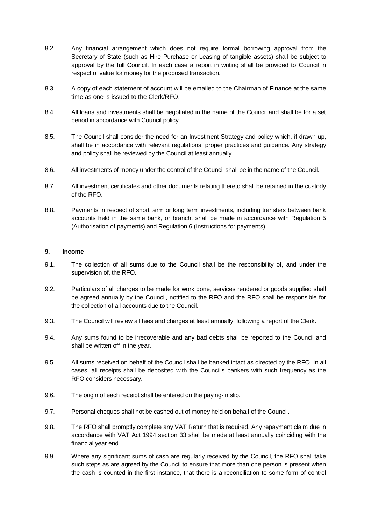- 8.2. Any financial arrangement which does not require formal borrowing approval from the Secretary of State (such as Hire Purchase or Leasing of tangible assets) shall be subject to approval by the full Council. In each case a report in writing shall be provided to Council in respect of value for money for the proposed transaction.
- 8.3. A copy of each statement of account will be emailed to the Chairman of Finance at the same time as one is issued to the Clerk/RFO.
- 8.4. All loans and investments shall be negotiated in the name of the Council and shall be for a set period in accordance with Council policy.
- 8.5. The Council shall consider the need for an Investment Strategy and policy which, if drawn up, shall be in accordance with relevant regulations, proper practices and guidance. Any strategy and policy shall be reviewed by the Council at least annually.
- 8.6. All investments of money under the control of the Council shall be in the name of the Council.
- 8.7. All investment certificates and other documents relating thereto shall be retained in the custody of the RFO.
- 8.8. Payments in respect of short term or long term investments, including transfers between bank accounts held in the same bank, or branch, shall be made in accordance with Regulation 5 (Authorisation of payments) and Regulation 6 (Instructions for payments).

#### **9. Income**

- 9.1. The collection of all sums due to the Council shall be the responsibility of, and under the supervision of, the RFO.
- 9.2. Particulars of all charges to be made for work done, services rendered or goods supplied shall be agreed annually by the Council, notified to the RFO and the RFO shall be responsible for the collection of all accounts due to the Council.
- 9.3. The Council will review all fees and charges at least annually, following a report of the Clerk.
- 9.4. Any sums found to be irrecoverable and any bad debts shall be reported to the Council and shall be written off in the year.
- 9.5. All sums received on behalf of the Council shall be banked intact as directed by the RFO. In all cases, all receipts shall be deposited with the Council's bankers with such frequency as the RFO considers necessary.
- 9.6. The origin of each receipt shall be entered on the paying-in slip.
- 9.7. Personal cheques shall not be cashed out of money held on behalf of the Council.
- 9.8. The RFO shall promptly complete any VAT Return that is required. Any repayment claim due in accordance with VAT Act 1994 section 33 shall be made at least annually coinciding with the financial year end.
- 9.9. Where any significant sums of cash are regularly received by the Council, the RFO shall take such steps as are agreed by the Council to ensure that more than one person is present when the cash is counted in the first instance, that there is a reconciliation to some form of control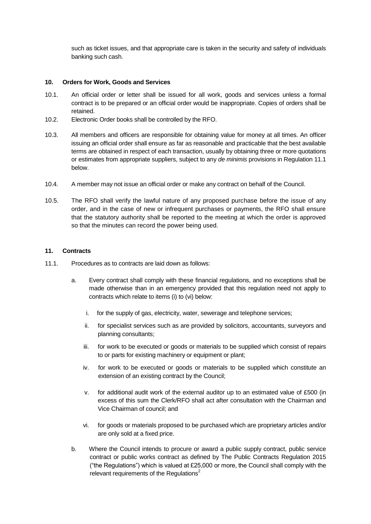such as ticket issues, and that appropriate care is taken in the security and safety of individuals banking such cash.

#### **10. Orders for Work, Goods and Services**

- 10.1. An official order or letter shall be issued for all work, goods and services unless a formal contract is to be prepared or an official order would be inappropriate. Copies of orders shall be retained.
- 10.2. Electronic Order books shall be controlled by the RFO.
- 10.3. All members and officers are responsible for obtaining value for money at all times. An officer issuing an official order shall ensure as far as reasonable and practicable that the best available terms are obtained in respect of each transaction, usually by obtaining three or more quotations or estimates from appropriate suppliers, subject to any *de minimis* provisions in Regulation 11.1 below.
- 10.4. A member may not issue an official order or make any contract on behalf of the Council.
- 10.5. The RFO shall verify the lawful nature of any proposed purchase before the issue of any order, and in the case of new or infrequent purchases or payments, the RFO shall ensure that the statutory authority shall be reported to the meeting at which the order is approved so that the minutes can record the power being used.

#### **11. Contracts**

- 11.1. Procedures as to contracts are laid down as follows:
	- a. Every contract shall comply with these financial regulations, and no exceptions shall be made otherwise than in an emergency provided that this regulation need not apply to contracts which relate to items (i) to (vi) below:
		- i. for the supply of gas, electricity, water, sewerage and telephone services;
		- ii. for specialist services such as are provided by solicitors, accountants, surveyors and planning consultants;
		- iii. for work to be executed or goods or materials to be supplied which consist of repairs to or parts for existing machinery or equipment or plant;
		- iv. for work to be executed or goods or materials to be supplied which constitute an extension of an existing contract by the Council;
		- v. for additional audit work of the external auditor up to an estimated value of £500 (in excess of this sum the Clerk/RFO shall act after consultation with the Chairman and Vice Chairman of council; and
		- vi. for goods or materials proposed to be purchased which are proprietary articles and/or are only sold at a fixed price.
	- b. Where the Council intends to procure or award a public supply contract, public service contract or public works contract as defined by The Public Contracts Regulation 2015 ("the Regulations") which is valued at £25,000 or more, the Council shall comply with the relevant requirements of the Regulations<sup>2</sup>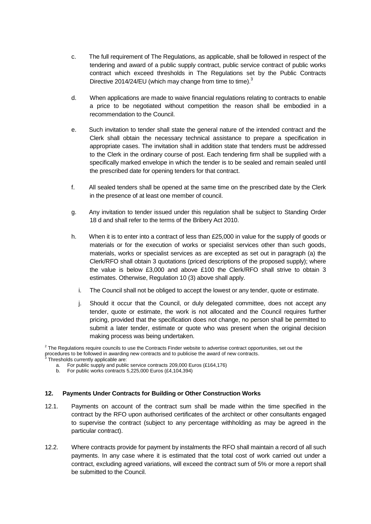- c. The full requirement of The Regulations, as applicable, shall be followed in respect of the tendering and award of a public supply contract, public service contract of public works contract which exceed thresholds in The Regulations set by the Public Contracts Directive 2014/24/EU (which may change from time to time).<sup>3</sup>
- d. When applications are made to waive financial regulations relating to contracts to enable a price to be negotiated without competition the reason shall be embodied in a recommendation to the Council.
- e. Such invitation to tender shall state the general nature of the intended contract and the Clerk shall obtain the necessary technical assistance to prepare a specification in appropriate cases. The invitation shall in addition state that tenders must be addressed to the Clerk in the ordinary course of post. Each tendering firm shall be supplied with a specifically marked envelope in which the tender is to be sealed and remain sealed until the prescribed date for opening tenders for that contract.
- f. All sealed tenders shall be opened at the same time on the prescribed date by the Clerk in the presence of at least one member of council.
- g. Any invitation to tender issued under this regulation shall be subject to Standing Order 18 d and shall refer to the terms of the Bribery Act 2010.
- h. When it is to enter into a contract of less than £25,000 in value for the supply of goods or materials or for the execution of works or specialist services other than such goods, materials, works or specialist services as are excepted as set out in paragraph (a) the Clerk/RFO shall obtain 3 quotations (priced descriptions of the proposed supply); where the value is below £3,000 and above £100 the Clerk/RFO shall strive to obtain 3 estimates. Otherwise, Regulation 10 (3) above shall apply.
	- i. The Council shall not be obliged to accept the lowest or any tender, quote or estimate.
	- j. Should it occur that the Council, or duly delegated committee, does not accept any tender, quote or estimate, the work is not allocated and the Council requires further pricing, provided that the specification does not change, no person shall be permitted to submit a later tender, estimate or quote who was present when the original decision making process was being undertaken.

- a. For public supply and public service contracts 209,000 Euros (£164,176)
- b. For public works contracts 5,225,000 Euros (£4,104,394)

#### **12. Payments Under Contracts for Building or Other Construction Works**

- 12.1. Payments on account of the contract sum shall be made within the time specified in the contract by the RFO upon authorised certificates of the architect or other consultants engaged to supervise the contract (subject to any percentage withholding as may be agreed in the particular contract).
- 12.2. Where contracts provide for payment by instalments the RFO shall maintain a record of all such payments. In any case where it is estimated that the total cost of work carried out under a contract, excluding agreed variations, will exceed the contract sum of 5% or more a report shall be submitted to the Council.

 $2$  The Regulations require councils to use the Contracts Finder website to advertise contract opportunities, set out the procedures to be followed in awarding new contracts and to publicise the award of new contracts.<br><sup>3</sup> Threabelds aurrently applicable are: Thresholds currently applicable are: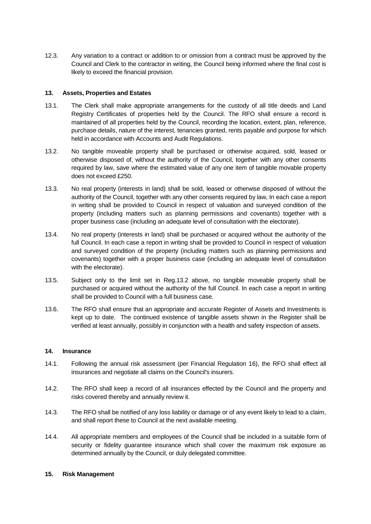12.3. Any variation to a contract or addition to or omission from a contract must be approved by the Council and Clerk to the contractor in writing, the Council being informed where the final cost is likely to exceed the financial provision.

### **13. Assets, Properties and Estates**

- 13.1. The Clerk shall make appropriate arrangements for the custody of all title deeds and Land Registry Certificates of properties held by the Council. The RFO shall ensure a record is maintained of all properties held by the Council, recording the location, extent, plan, reference, purchase details, nature of the interest, tenancies granted, rents payable and purpose for which held in accordance with Accounts and Audit Regulations.
- 13.2. No tangible moveable property shall be purchased or otherwise acquired, sold, leased or otherwise disposed of, without the authority of the Council, together with any other consents required by law, save where the estimated value of any one item of tangible movable property does not exceed £250.
- 13.3. No real property (interests in land) shall be sold, leased or otherwise disposed of without the authority of the Council, together with any other consents required by law, In each case a report in writing shall be provided to Council in respect of valuation and surveyed condition of the property (including matters such as planning permissions and covenants) together with a proper business case (including an adequate level of consultation with the electorate).
- 13.4. No real property (interests in land) shall be purchased or acquired without the authority of the full Council. In each case a report in writing shall be provided to Council in respect of valuation and surveyed condition of the property (including matters such as planning permissions and covenants) together with a proper business case (including an adequate level of consultation with the electorate).
- 13.5. Subject only to the limit set in Reg.13.2 above, no tangible moveable property shall be purchased or acquired without the authority of the full Council. In each case a report in writing shall be provided to Council with a full business case.
- 13.6. The RFO shall ensure that an appropriate and accurate Register of Assets and Investments is kept up to date. The continued existence of tangible assets shown in the Register shall be verified at least annually, possibly in conjunction with a health and safety inspection of assets.

### **14. Insurance**

- 14.1. Following the annual risk assessment (per Financial Regulation 16), the RFO shall effect all insurances and negotiate all claims on the Council's insurers.
- 14.2. The RFO shall keep a record of all insurances effected by the Council and the property and risks covered thereby and annually review it.
- 14.3. The RFO shall be notified of any loss liability or damage or of any event likely to lead to a claim, and shall report these to Council at the next available meeting.
- 14.4. All appropriate members and employees of the Council shall be included in a suitable form of security or fidelity guarantee insurance which shall cover the maximum risk exposure as determined annually by the Council, or duly delegated committee.

### **15. Risk Management**